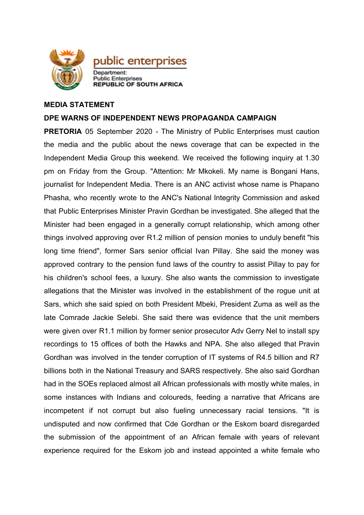

public enterprises Department:

**Public Enterprises REPUBLIC OF SOUTH AFRICA** 

## **MEDIA STATEMENT**

# **DPE WARNS OF INDEPENDENT NEWS PROPAGANDA CAMPAIGN**

**PRETORIA** 05 September 2020 - The Ministry of Public Enterprises must caution the media and the public about the news coverage that can be expected in the Independent Media Group this weekend. We received the following inquiry at 1.30 pm on Friday from the Group. "Attention: Mr Mkokeli. My name is Bongani Hans, journalist for Independent Media. There is an ANC activist whose name is Phapano Phasha, who recently wrote to the ANC's National Integrity Commission and asked that Public Enterprises Minister Pravin Gordhan be investigated. She alleged that the Minister had been engaged in a generally corrupt relationship, which among other things involved approving over R1.2 million of pension monies to unduly benefit "his long time friend", former Sars senior official Ivan Pillay. She said the money was approved contrary to the pension fund laws of the country to assist Pillay to pay for his children's school fees, a luxury. She also wants the commission to investigate allegations that the Minister was involved in the establishment of the rogue unit at Sars, which she said spied on both President Mbeki, President Zuma as well as the late Comrade Jackie Selebi. She said there was evidence that the unit members were given over R1.1 million by former senior prosecutor Adv Gerry Nel to install spy recordings to 15 offices of both the Hawks and NPA. She also alleged that Pravin Gordhan was involved in the tender corruption of IT systems of R4.5 billion and R7 billions both in the National Treasury and SARS respectively. She also said Gordhan had in the SOEs replaced almost all African professionals with mostly white males, in some instances with Indians and coloureds, feeding a narrative that Africans are incompetent if not corrupt but also fueling unnecessary racial tensions. "It is undisputed and now confirmed that Cde Gordhan or the Eskom board disregarded the submission of the appointment of an African female with years of relevant experience required for the Eskom job and instead appointed a white female who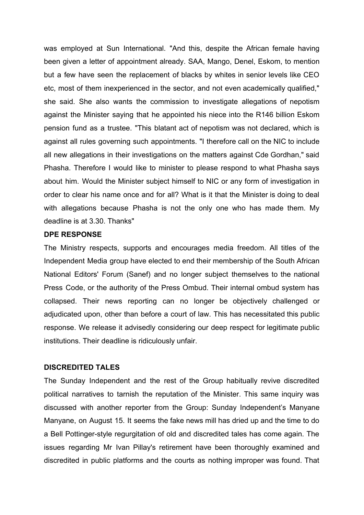was employed at Sun International. "And this, despite the African female having been given a letter of appointment already. SAA, Mango, Denel, Eskom, to mention but a few have seen the replacement of blacks by whites in senior levels like CEO etc, most of them inexperienced in the sector, and not even academically qualified," she said. She also wants the commission to investigate allegations of nepotism against the Minister saying that he appointed his niece into the R146 billion Eskom pension fund as a trustee. "This blatant act of nepotism was not declared, which is against all rules governing such appointments. "I therefore call on the NIC to include all new allegations in their investigations on the matters against Cde Gordhan," said Phasha. Therefore I would like to minister to please respond to what Phasha says about him. Would the Minister subject himself to NIC or any form of investigation in order to clear his name once and for all? What is it that the Minister is doing to deal with allegations because Phasha is not the only one who has made them. My deadline is at 3.30. Thanks"

## **DPE RESPONSE**

The Ministry respects, supports and encourages media freedom. All titles of the Independent Media group have elected to end their membership of the South African National Editors' Forum (Sanef) and no longer subject themselves to the national Press Code, or the authority of the Press Ombud. Their internal ombud system has collapsed. Their news reporting can no longer be objectively challenged or adjudicated upon, other than before a court of law. This has necessitated this public response. We release it advisedly considering our deep respect for legitimate public institutions. Their deadline is ridiculously unfair.

#### **DISCREDITED TALES**

The Sunday Independent and the rest of the Group habitually revive discredited political narratives to tarnish the reputation of the Minister. This same inquiry was discussed with another reporter from the Group: Sunday Independent's Manyane Manyane, on August 15. It seems the fake news mill has dried up and the time to do a Bell Pottinger-style regurgitation of old and discredited tales has come again. The issues regarding Mr Ivan Pillay's retirement have been thoroughly examined and discredited in public platforms and the courts as nothing improper was found. That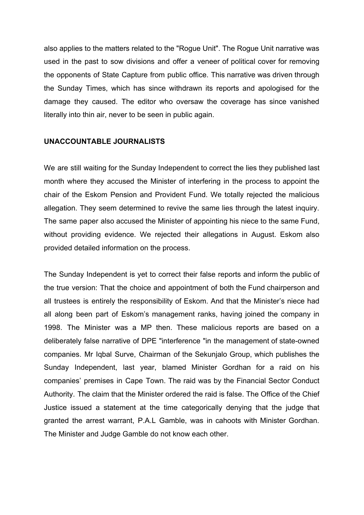also applies to the matters related to the "Rogue Unit". The Rogue Unit narrative was used in the past to sow divisions and offer a veneer of political cover for removing the opponents of State Capture from public office. This narrative was driven through the Sunday Times, which has since withdrawn its reports and apologised for the damage they caused. The editor who oversaw the coverage has since vanished literally into thin air, never to be seen in public again.

### **UNACCOUNTABLE JOURNALISTS**

We are still waiting for the Sunday Independent to correct the lies they published last month where they accused the Minister of interfering in the process to appoint the chair of the Eskom Pension and Provident Fund. We totally rejected the malicious allegation. They seem determined to revive the same lies through the latest inquiry. The same paper also accused the Minister of appointing his niece to the same Fund, without providing evidence. We rejected their allegations in August. Eskom also provided detailed information on the process.

The Sunday Independent is yet to correct their false reports and inform the public of the true version: That the choice and appointment of both the Fund chairperson and all trustees is entirely the responsibility of Eskom. And that the Minister's niece had all along been part of Eskom's management ranks, having joined the company in 1998. The Minister was a MP then. These malicious reports are based on a deliberately false narrative of DPE "interference "in the management of state-owned companies. Mr Iqbal Surve, Chairman of the Sekunjalo Group, which publishes the Sunday Independent, last year, blamed Minister Gordhan for a raid on his companies' premises in Cape Town. The raid was by the Financial Sector Conduct Authority. The claim that the Minister ordered the raid is false. The Office of the Chief Justice issued a statement at the time categorically denying that the judge that granted the arrest warrant, P.A.L Gamble, was in cahoots with Minister Gordhan. The Minister and Judge Gamble do not know each other.